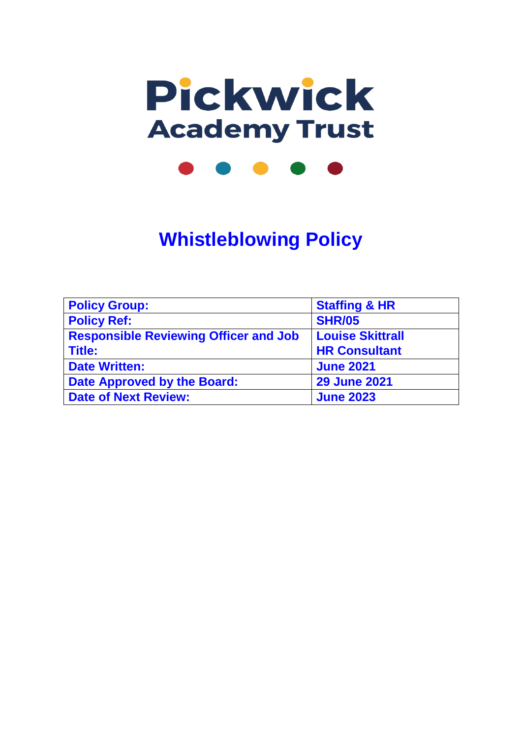

**Whistleblowing Policy**

| <b>Policy Group:</b>                         | <b>Staffing &amp; HR</b> |
|----------------------------------------------|--------------------------|
| <b>Policy Ref:</b>                           | <b>SHR/05</b>            |
| <b>Responsible Reviewing Officer and Job</b> | <b>Louise Skittrall</b>  |
| <b>Title:</b>                                | <b>HR Consultant</b>     |
| <b>Date Written:</b>                         | <b>June 2021</b>         |
| <b>Date Approved by the Board:</b>           | <b>29 June 2021</b>      |
| <b>Date of Next Review:</b>                  | <b>June 2023</b>         |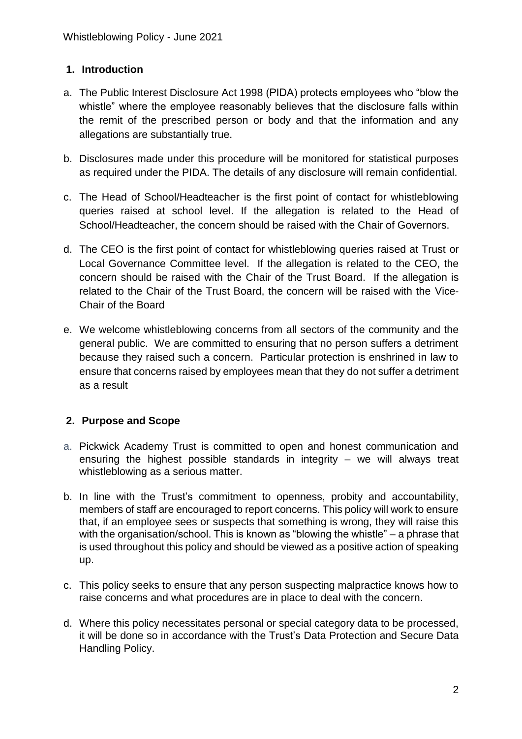### **1. Introduction**

- a. The Public Interest Disclosure Act 1998 (PIDA) protects employees who "blow the whistle" where the employee reasonably believes that the disclosure falls within the remit of the prescribed person or body and that the information and any allegations are substantially true.
- b. Disclosures made under this procedure will be monitored for statistical purposes as required under the PIDA. The details of any disclosure will remain confidential.
- c. The Head of School/Headteacher is the first point of contact for whistleblowing queries raised at school level. If the allegation is related to the Head of School/Headteacher, the concern should be raised with the Chair of Governors.
- d. The CEO is the first point of contact for whistleblowing queries raised at Trust or Local Governance Committee level. If the allegation is related to the CEO, the concern should be raised with the Chair of the Trust Board. If the allegation is related to the Chair of the Trust Board, the concern will be raised with the Vice-Chair of the Board
- e. We welcome whistleblowing concerns from all sectors of the community and the general public. We are committed to ensuring that no person suffers a detriment because they raised such a concern. Particular protection is enshrined in law to ensure that concerns raised by employees mean that they do not suffer a detriment as a result

## **2. Purpose and Scope**

- a. Pickwick Academy Trust is committed to open and honest communication and ensuring the highest possible standards in integrity – we will always treat whistleblowing as a serious matter.
- b. In line with the Trust's commitment to openness, probity and accountability, members of staff are encouraged to report concerns. This policy will work to ensure that, if an employee sees or suspects that something is wrong, they will raise this with the organisation/school. This is known as "blowing the whistle" – a phrase that is used throughout this policy and should be viewed as a positive action of speaking up.
- c. This policy seeks to ensure that any person suspecting malpractice knows how to raise concerns and what procedures are in place to deal with the concern.
- d. Where this policy necessitates personal or special category data to be processed, it will be done so in accordance with the Trust's Data Protection and Secure Data Handling Policy.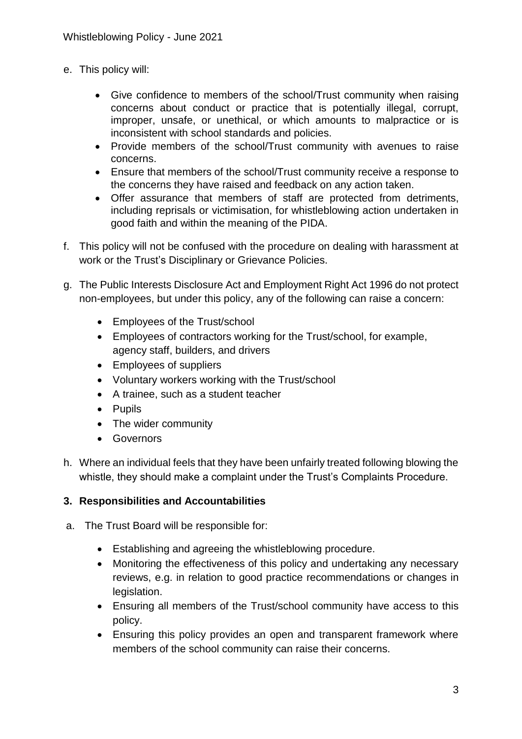- e. This policy will:
	- Give confidence to members of the school/Trust community when raising concerns about conduct or practice that is potentially illegal, corrupt, improper, unsafe, or unethical, or which amounts to malpractice or is inconsistent with school standards and policies.
	- Provide members of the school/Trust community with avenues to raise concerns.
	- Ensure that members of the school/Trust community receive a response to the concerns they have raised and feedback on any action taken.
	- Offer assurance that members of staff are protected from detriments, including reprisals or victimisation, for whistleblowing action undertaken in good faith and within the meaning of the PIDA.
- f. This policy will not be confused with the procedure on dealing with harassment at work or the Trust's Disciplinary or Grievance Policies.
- g. The Public Interests Disclosure Act and Employment Right Act 1996 do not protect non-employees, but under this policy, any of the following can raise a concern:
	- Employees of the Trust/school
	- Employees of contractors working for the Trust/school, for example, agency staff, builders, and drivers
	- Employees of suppliers
	- Voluntary workers working with the Trust/school
	- A trainee, such as a student teacher
	- Pupils
	- The wider community
	- Governors
- h. Where an individual feels that they have been unfairly treated following blowing the whistle, they should make a complaint under the Trust's Complaints Procedure.

## **3. Responsibilities and Accountabilities**

- a. The Trust Board will be responsible for:
	- Establishing and agreeing the whistleblowing procedure.
	- Monitoring the effectiveness of this policy and undertaking any necessary reviews, e.g. in relation to good practice recommendations or changes in legislation.
	- Ensuring all members of the Trust/school community have access to this policy.
	- Ensuring this policy provides an open and transparent framework where members of the school community can raise their concerns.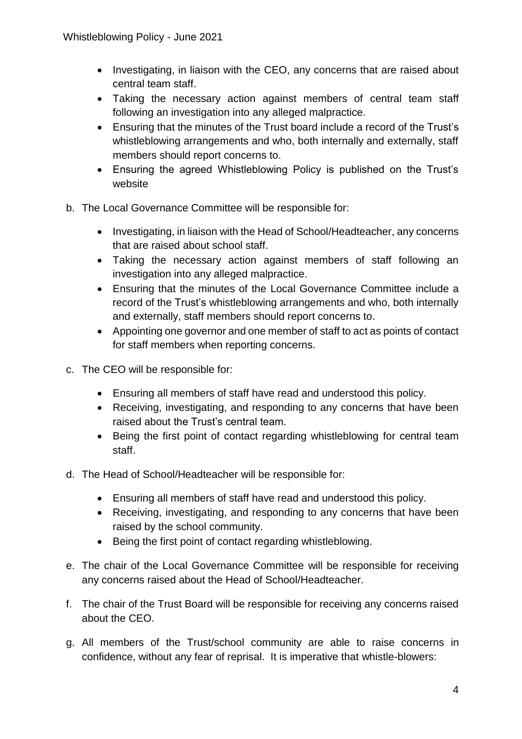- Investigating, in liaison with the CEO, any concerns that are raised about central team staff.
- Taking the necessary action against members of central team staff following an investigation into any alleged malpractice.
- Ensuring that the minutes of the Trust board include a record of the Trust's whistleblowing arrangements and who, both internally and externally, staff members should report concerns to.
- Ensuring the agreed Whistleblowing Policy is published on the Trust's website
- b. The Local Governance Committee will be responsible for:
	- Investigating, in liaison with the Head of School/Headteacher, any concerns that are raised about school staff.
	- Taking the necessary action against members of staff following an investigation into any alleged malpractice.
	- Ensuring that the minutes of the Local Governance Committee include a record of the Trust's whistleblowing arrangements and who, both internally and externally, staff members should report concerns to.
	- Appointing one governor and one member of staff to act as points of contact for staff members when reporting concerns.
- c. The CEO will be responsible for:
	- Ensuring all members of staff have read and understood this policy.
	- Receiving, investigating, and responding to any concerns that have been raised about the Trust's central team.
	- Being the first point of contact regarding whistleblowing for central team staff.
- d. The Head of School/Headteacher will be responsible for:
	- Ensuring all members of staff have read and understood this policy.
	- Receiving, investigating, and responding to any concerns that have been raised by the school community.
	- Being the first point of contact regarding whistleblowing.
- e. The chair of the Local Governance Committee will be responsible for receiving any concerns raised about the Head of School/Headteacher.
- f. The chair of the Trust Board will be responsible for receiving any concerns raised about the CEO.
- g. All members of the Trust/school community are able to raise concerns in confidence, without any fear of reprisal. It is imperative that whistle-blowers: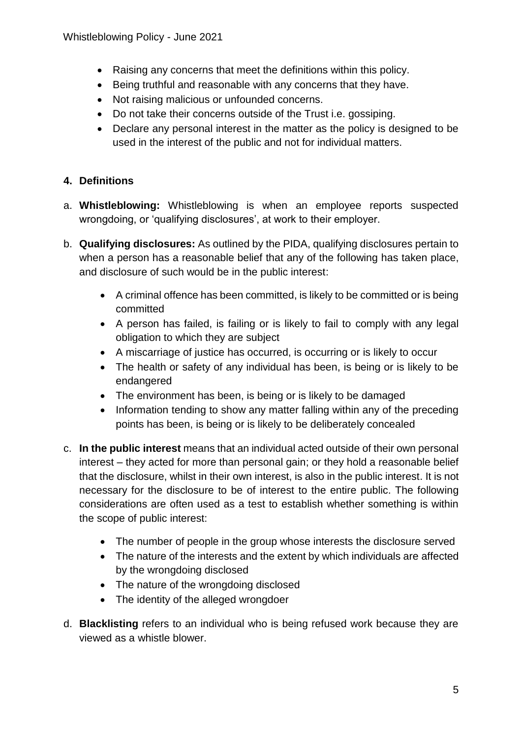- Raising any concerns that meet the definitions within this policy.
- Being truthful and reasonable with any concerns that they have.
- Not raising malicious or unfounded concerns.
- Do not take their concerns outside of the Trust i.e. gossiping.
- Declare any personal interest in the matter as the policy is designed to be used in the interest of the public and not for individual matters.

# **4. Definitions**

- a. **Whistleblowing:** Whistleblowing is when an employee reports suspected wrongdoing, or 'qualifying disclosures', at work to their employer.
- b. **Qualifying disclosures:** As outlined by the PIDA, qualifying disclosures pertain to when a person has a reasonable belief that any of the following has taken place, and disclosure of such would be in the public interest:
	- A criminal offence has been committed, is likely to be committed or is being committed
	- A person has failed, is failing or is likely to fail to comply with any legal obligation to which they are subject
	- A miscarriage of justice has occurred, is occurring or is likely to occur
	- The health or safety of any individual has been, is being or is likely to be endangered
	- The environment has been, is being or is likely to be damaged
	- Information tending to show any matter falling within any of the preceding points has been, is being or is likely to be deliberately concealed
- c. **In the public interest** means that an individual acted outside of their own personal interest – they acted for more than personal gain; or they hold a reasonable belief that the disclosure, whilst in their own interest, is also in the public interest. It is not necessary for the disclosure to be of interest to the entire public. The following considerations are often used as a test to establish whether something is within the scope of public interest:
	- The number of people in the group whose interests the disclosure served
	- The nature of the interests and the extent by which individuals are affected by the wrongdoing disclosed
	- The nature of the wrongdoing disclosed
	- The identity of the alleged wrongdoer
- d. **Blacklisting** refers to an individual who is being refused work because they are viewed as a whistle blower.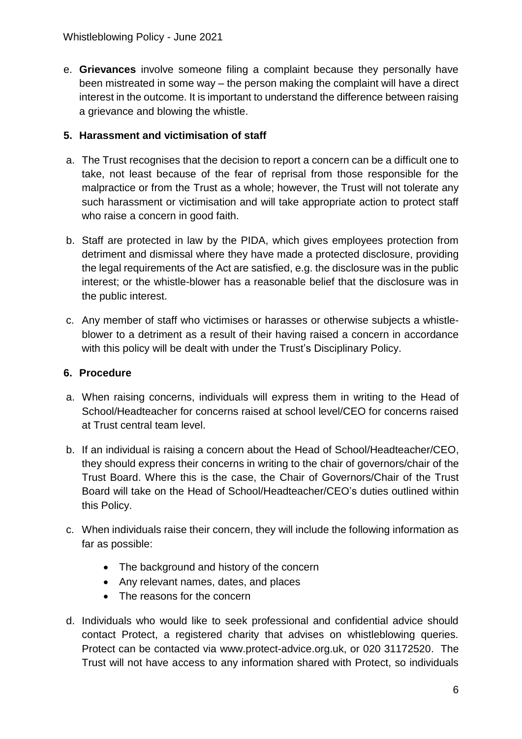e. **Grievances** involve someone filing a complaint because they personally have been mistreated in some way – the person making the complaint will have a direct interest in the outcome. It is important to understand the difference between raising a grievance and blowing the whistle.

## **5. Harassment and victimisation of staff**

- a. The Trust recognises that the decision to report a concern can be a difficult one to take, not least because of the fear of reprisal from those responsible for the malpractice or from the Trust as a whole; however, the Trust will not tolerate any such harassment or victimisation and will take appropriate action to protect staff who raise a concern in good faith.
- b. Staff are protected in law by the PIDA, which gives employees protection from detriment and dismissal where they have made a protected disclosure, providing the legal requirements of the Act are satisfied, e.g. the disclosure was in the public interest; or the whistle-blower has a reasonable belief that the disclosure was in the public interest.
- c. Any member of staff who victimises or harasses or otherwise subjects a whistleblower to a detriment as a result of their having raised a concern in accordance with this policy will be dealt with under the Trust's Disciplinary Policy.

### **6. Procedure**

- a. When raising concerns, individuals will express them in writing to the Head of School/Headteacher for concerns raised at school level/CEO for concerns raised at Trust central team level.
- b. If an individual is raising a concern about the Head of School/Headteacher/CEO, they should express their concerns in writing to the chair of governors/chair of the Trust Board. Where this is the case, the Chair of Governors/Chair of the Trust Board will take on the Head of School/Headteacher/CEO's duties outlined within this Policy.
- c. When individuals raise their concern, they will include the following information as far as possible:
	- The background and history of the concern
	- Any relevant names, dates, and places
	- The reasons for the concern
- d. Individuals who would like to seek professional and confidential advice should contact Protect, a registered charity that advises on whistleblowing queries. Protect can be contacted via www.protect-advice.org.uk, or 020 31172520. The Trust will not have access to any information shared with Protect, so individuals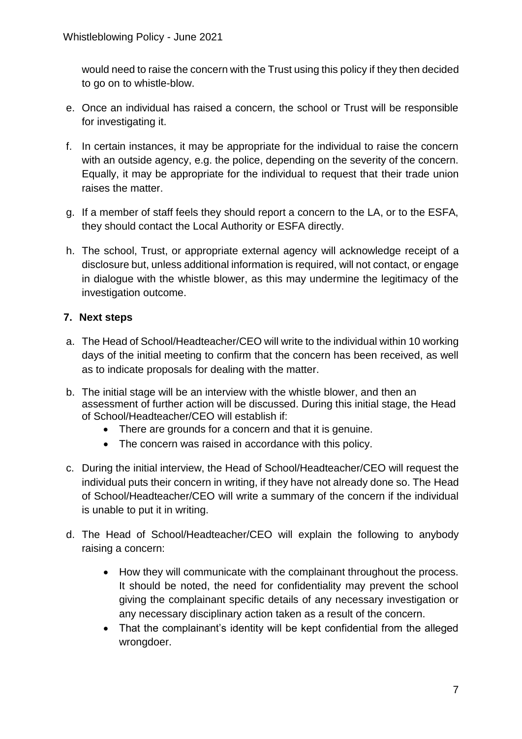would need to raise the concern with the Trust using this policy if they then decided to go on to whistle-blow.

- e. Once an individual has raised a concern, the school or Trust will be responsible for investigating it.
- f. In certain instances, it may be appropriate for the individual to raise the concern with an outside agency, e.g. the police, depending on the severity of the concern. Equally, it may be appropriate for the individual to request that their trade union raises the matter.
- g. If a member of staff feels they should report a concern to the LA, or to the ESFA, they should contact the Local Authority or ESFA directly.
- h. The school, Trust, or appropriate external agency will acknowledge receipt of a disclosure but, unless additional information is required, will not contact, or engage in dialogue with the whistle blower, as this may undermine the legitimacy of the investigation outcome.

## **7. Next steps**

- a. The Head of School/Headteacher/CEO will write to the individual within 10 working days of the initial meeting to confirm that the concern has been received, as well as to indicate proposals for dealing with the matter.
- b. The initial stage will be an interview with the whistle blower, and then an assessment of further action will be discussed. During this initial stage, the Head of School/Headteacher/CEO will establish if:
	- There are grounds for a concern and that it is genuine.
	- The concern was raised in accordance with this policy.
- c. During the initial interview, the Head of School/Headteacher/CEO will request the individual puts their concern in writing, if they have not already done so. The Head of School/Headteacher/CEO will write a summary of the concern if the individual is unable to put it in writing.
- d. The Head of School/Headteacher/CEO will explain the following to anybody raising a concern:
	- How they will communicate with the complainant throughout the process. It should be noted, the need for confidentiality may prevent the school giving the complainant specific details of any necessary investigation or any necessary disciplinary action taken as a result of the concern.
	- That the complainant's identity will be kept confidential from the alleged wrongdoer.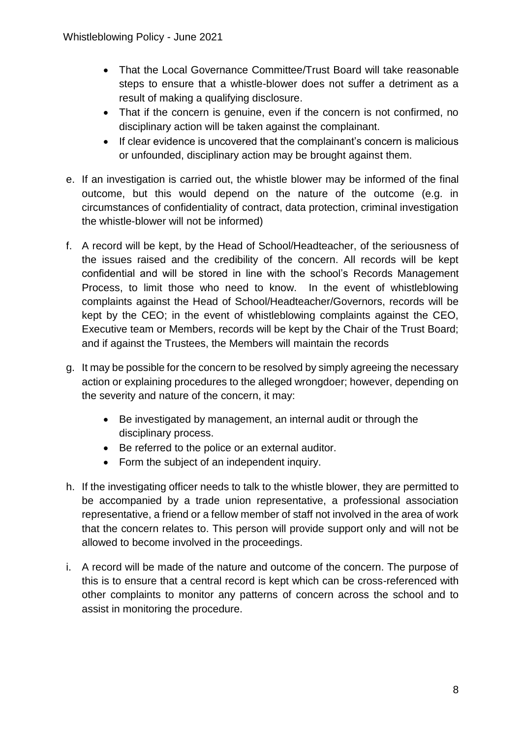- That the Local Governance Committee/Trust Board will take reasonable steps to ensure that a whistle-blower does not suffer a detriment as a result of making a qualifying disclosure.
- That if the concern is genuine, even if the concern is not confirmed, no disciplinary action will be taken against the complainant.
- If clear evidence is uncovered that the complainant's concern is malicious or unfounded, disciplinary action may be brought against them.
- e. If an investigation is carried out, the whistle blower may be informed of the final outcome, but this would depend on the nature of the outcome (e.g. in circumstances of confidentiality of contract, data protection, criminal investigation the whistle-blower will not be informed)
- f. A record will be kept, by the Head of School/Headteacher, of the seriousness of the issues raised and the credibility of the concern. All records will be kept confidential and will be stored in line with the school's Records Management Process, to limit those who need to know. In the event of whistleblowing complaints against the Head of School/Headteacher/Governors, records will be kept by the CEO; in the event of whistleblowing complaints against the CEO, Executive team or Members, records will be kept by the Chair of the Trust Board; and if against the Trustees, the Members will maintain the records
- g. It may be possible for the concern to be resolved by simply agreeing the necessary action or explaining procedures to the alleged wrongdoer; however, depending on the severity and nature of the concern, it may:
	- Be investigated by management, an internal audit or through the disciplinary process.
	- Be referred to the police or an external auditor.
	- Form the subject of an independent inquiry.
- h. If the investigating officer needs to talk to the whistle blower, they are permitted to be accompanied by a trade union representative, a professional association representative, a friend or a fellow member of staff not involved in the area of work that the concern relates to. This person will provide support only and will not be allowed to become involved in the proceedings.
- i. A record will be made of the nature and outcome of the concern. The purpose of this is to ensure that a central record is kept which can be cross-referenced with other complaints to monitor any patterns of concern across the school and to assist in monitoring the procedure.